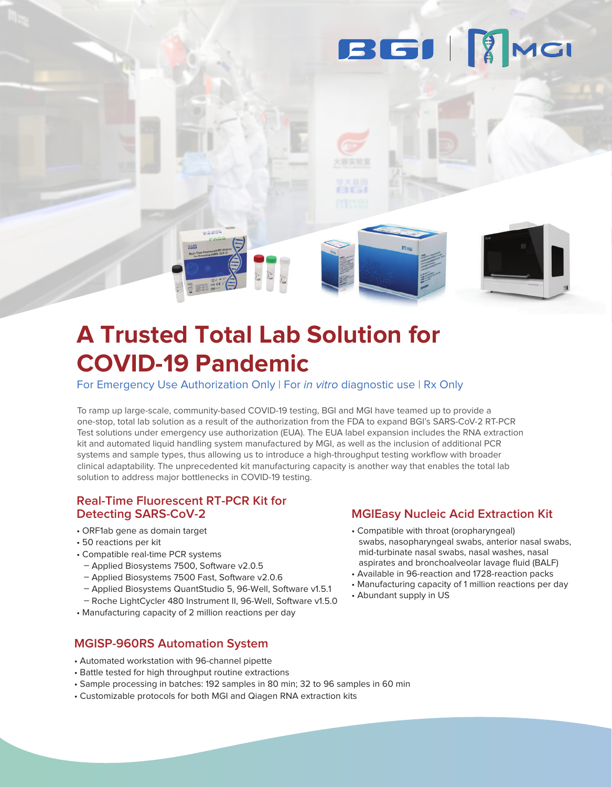### **BGII** MGI

## **A Trusted Total Lab Solution for COVID-19 Pandemic**

For Emergency Use Authorization Only | For in vitro diagnostic use | Rx Only

To ramp up large-scale, community-based COVID-19 testing, BGI and MGI have teamed up to provide a one-stop, total lab solution as a result of the authorization from the FDA to expand BGI's SARS-CoV-2 RT-PCR Test solutions under emergency use authorization (EUA). The EUA label expansion includes the RNA extraction kit and automated liquid handling system manufactured by MGI, as well as the inclusion of additional PCR systems and sample types, thus allowing us to introduce a high-throughput testing workflow with broader clinical adaptability. The unprecedented kit manufacturing capacity is another way that enables the total lab solution to address major bottlenecks in COVID-19 testing.

#### **Real-Time Fluorescent RT-PCR Kit for Detecting SARS-CoV-2**

- ORF1ab gene as domain target
- 50 reactions per kit
- Compatible real-time PCR systems
- Applied Biosystems 7500, Software v2.0.5
- Applied Biosystems 7500 Fast, Software v2.0.6
- Applied Biosystems QuantStudio 5, 96-Well, Software v1.5.1
- Roche LightCycler 480 Instrument II, 96-Well, Software v1.5.0
- Manufacturing capacity of 2 million reactions per day

#### **MGISP-960RS Automation System**

- Automated workstation with 96-channel pipette
- Battle tested for high throughput routine extractions
- Sample processing in batches: 192 samples in 80 min; 32 to 96 samples in 60 min
- Customizable protocols for both MGI and Qiagen RNA extraction kits

#### **MGIEasy Nucleic Acid Extraction Kit**

- Compatible with throat (oropharyngeal) swabs, nasopharyngeal swabs, anterior nasal swabs, mid-turbinate nasal swabs, nasal washes, nasal aspirates and bronchoalveolar lavage fluid (BALF)
- Available in 96-reaction and 1728-reaction packs
- Manufacturing capacity of 1 million reactions per day
- Abundant supply in US